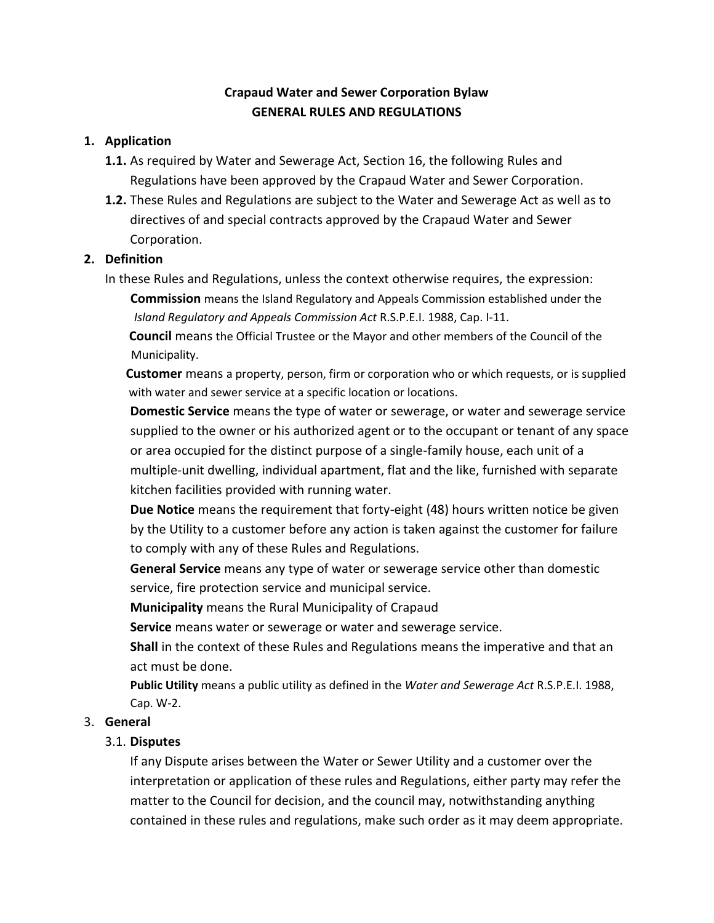# **Crapaud Water and Sewer Corporation Bylaw GENERAL RULES AND REGULATIONS**

### **1. Application**

- **1.1.** As required by Water and Sewerage Act, Section 16, the following Rules and Regulations have been approved by the Crapaud Water and Sewer Corporation.
- **1.2.** These Rules and Regulations are subject to the Water and Sewerage Act as well as to directives of and special contracts approved by the Crapaud Water and Sewer Corporation.

### **2. Definition**

In these Rules and Regulations, unless the context otherwise requires, the expression: **Commission** means the Island Regulatory and Appeals Commission established under the *Island Regulatory and Appeals Commission Act* R.S.P.E.I. 1988, Cap. I-11.

**Council** means the Official Trustee or the Mayor and other members of the Council of the Municipality.

 **Customer** means a property, person, firm or corporation who or which requests, or is supplied with water and sewer service at a specific location or locations.

**Domestic Service** means the type of water or sewerage, or water and sewerage service supplied to the owner or his authorized agent or to the occupant or tenant of any space or area occupied for the distinct purpose of a single-family house, each unit of a multiple-unit dwelling, individual apartment, flat and the like, furnished with separate kitchen facilities provided with running water.

**Due Notice** means the requirement that forty-eight (48) hours written notice be given by the Utility to a customer before any action is taken against the customer for failure to comply with any of these Rules and Regulations.

**General Service** means any type of water or sewerage service other than domestic service, fire protection service and municipal service.

**Municipality** means the Rural Municipality of Crapaud

**Service** means water or sewerage or water and sewerage service.

**Shall** in the context of these Rules and Regulations means the imperative and that an act must be done.

**Public Utility** means a public utility as defined in the *Water and Sewerage Act* R.S.P.E.I. 1988, Cap. W-2.

## 3. **General**

## 3.1. **Disputes**

If any Dispute arises between the Water or Sewer Utility and a customer over the interpretation or application of these rules and Regulations, either party may refer the matter to the Council for decision, and the council may, notwithstanding anything contained in these rules and regulations, make such order as it may deem appropriate.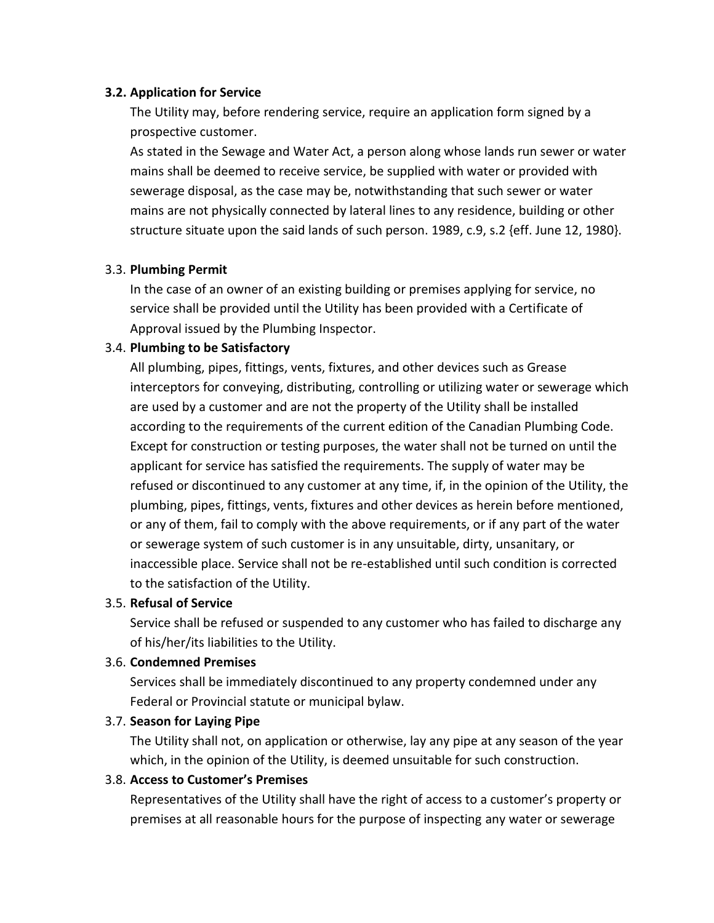#### **3.2. Application for Service**

The Utility may, before rendering service, require an application form signed by a prospective customer.

As stated in the Sewage and Water Act, a person along whose lands run sewer or water mains shall be deemed to receive service, be supplied with water or provided with sewerage disposal, as the case may be, notwithstanding that such sewer or water mains are not physically connected by lateral lines to any residence, building or other structure situate upon the said lands of such person. 1989, c.9, s.2 {eff. June 12, 1980}.

### 3.3. **Plumbing Permit**

In the case of an owner of an existing building or premises applying for service, no service shall be provided until the Utility has been provided with a Certificate of Approval issued by the Plumbing Inspector.

### 3.4. **Plumbing to be Satisfactory**

All plumbing, pipes, fittings, vents, fixtures, and other devices such as Grease interceptors for conveying, distributing, controlling or utilizing water or sewerage which are used by a customer and are not the property of the Utility shall be installed according to the requirements of the current edition of the Canadian Plumbing Code. Except for construction or testing purposes, the water shall not be turned on until the applicant for service has satisfied the requirements. The supply of water may be refused or discontinued to any customer at any time, if, in the opinion of the Utility, the plumbing, pipes, fittings, vents, fixtures and other devices as herein before mentioned, or any of them, fail to comply with the above requirements, or if any part of the water or sewerage system of such customer is in any unsuitable, dirty, unsanitary, or inaccessible place. Service shall not be re-established until such condition is corrected to the satisfaction of the Utility.

#### 3.5. **Refusal of Service**

Service shall be refused or suspended to any customer who has failed to discharge any of his/her/its liabilities to the Utility.

#### 3.6. **Condemned Premises**

Services shall be immediately discontinued to any property condemned under any Federal or Provincial statute or municipal bylaw.

#### 3.7. **Season for Laying Pipe**

The Utility shall not, on application or otherwise, lay any pipe at any season of the year which, in the opinion of the Utility, is deemed unsuitable for such construction.

#### 3.8. **Access to Customer's Premises**

Representatives of the Utility shall have the right of access to a customer's property or premises at all reasonable hours for the purpose of inspecting any water or sewerage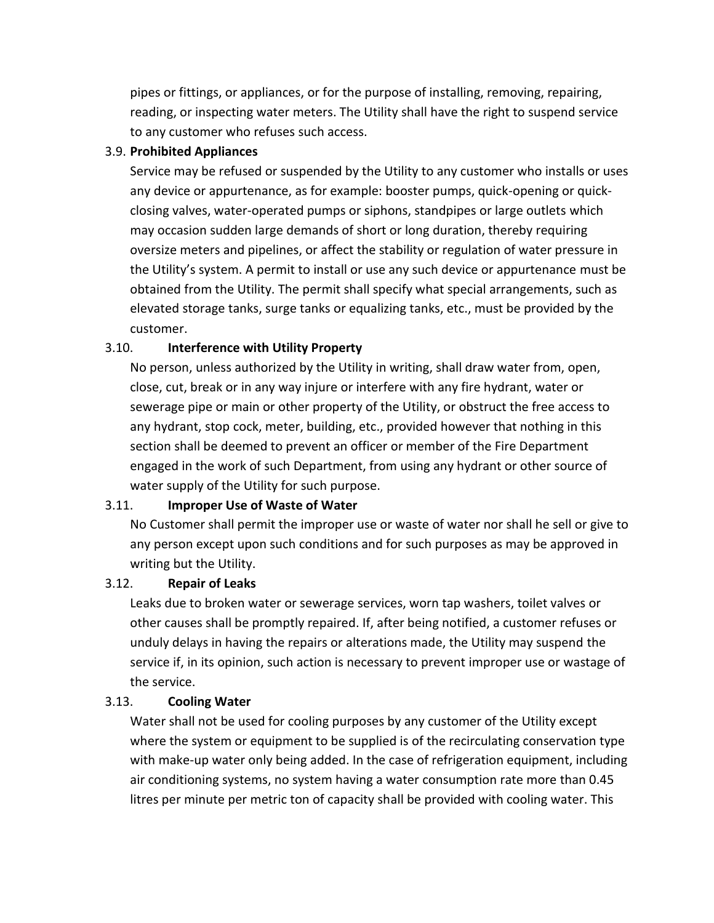pipes or fittings, or appliances, or for the purpose of installing, removing, repairing, reading, or inspecting water meters. The Utility shall have the right to suspend service to any customer who refuses such access.

#### 3.9. **Prohibited Appliances**

Service may be refused or suspended by the Utility to any customer who installs or uses any device or appurtenance, as for example: booster pumps, quick-opening or quickclosing valves, water-operated pumps or siphons, standpipes or large outlets which may occasion sudden large demands of short or long duration, thereby requiring oversize meters and pipelines, or affect the stability or regulation of water pressure in the Utility's system. A permit to install or use any such device or appurtenance must be obtained from the Utility. The permit shall specify what special arrangements, such as elevated storage tanks, surge tanks or equalizing tanks, etc., must be provided by the customer.

## 3.10. **Interference with Utility Property**

No person, unless authorized by the Utility in writing, shall draw water from, open, close, cut, break or in any way injure or interfere with any fire hydrant, water or sewerage pipe or main or other property of the Utility, or obstruct the free access to any hydrant, stop cock, meter, building, etc., provided however that nothing in this section shall be deemed to prevent an officer or member of the Fire Department engaged in the work of such Department, from using any hydrant or other source of water supply of the Utility for such purpose.

## 3.11. **Improper Use of Waste of Water**

No Customer shall permit the improper use or waste of water nor shall he sell or give to any person except upon such conditions and for such purposes as may be approved in writing but the Utility.

## 3.12. **Repair of Leaks**

Leaks due to broken water or sewerage services, worn tap washers, toilet valves or other causes shall be promptly repaired. If, after being notified, a customer refuses or unduly delays in having the repairs or alterations made, the Utility may suspend the service if, in its opinion, such action is necessary to prevent improper use or wastage of the service.

# 3.13. **Cooling Water**

Water shall not be used for cooling purposes by any customer of the Utility except where the system or equipment to be supplied is of the recirculating conservation type with make-up water only being added. In the case of refrigeration equipment, including air conditioning systems, no system having a water consumption rate more than 0.45 litres per minute per metric ton of capacity shall be provided with cooling water. This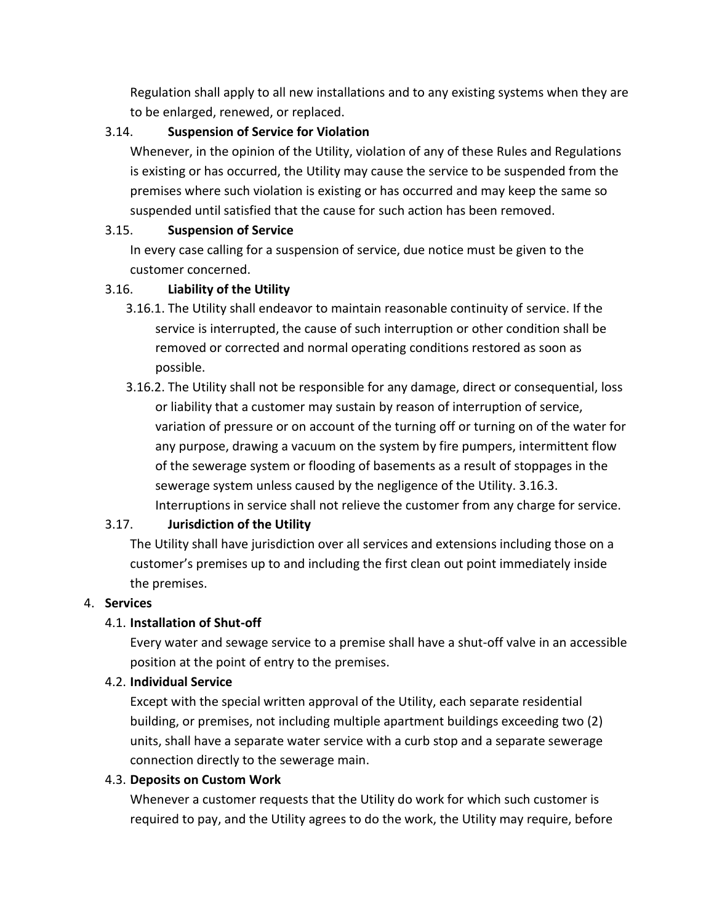Regulation shall apply to all new installations and to any existing systems when they are to be enlarged, renewed, or replaced.

### 3.14. **Suspension of Service for Violation**

Whenever, in the opinion of the Utility, violation of any of these Rules and Regulations is existing or has occurred, the Utility may cause the service to be suspended from the premises where such violation is existing or has occurred and may keep the same so suspended until satisfied that the cause for such action has been removed.

### 3.15. **Suspension of Service**

In every case calling for a suspension of service, due notice must be given to the customer concerned.

### 3.16. **Liability of the Utility**

- 3.16.1. The Utility shall endeavor to maintain reasonable continuity of service. If the service is interrupted, the cause of such interruption or other condition shall be removed or corrected and normal operating conditions restored as soon as possible.
- 3.16.2. The Utility shall not be responsible for any damage, direct or consequential, loss or liability that a customer may sustain by reason of interruption of service, variation of pressure or on account of the turning off or turning on of the water for any purpose, drawing a vacuum on the system by fire pumpers, intermittent flow of the sewerage system or flooding of basements as a result of stoppages in the sewerage system unless caused by the negligence of the Utility. 3.16.3. Interruptions in service shall not relieve the customer from any charge for service.

## 3.17. **Jurisdiction of the Utility**

The Utility shall have jurisdiction over all services and extensions including those on a customer's premises up to and including the first clean out point immediately inside the premises.

#### 4. **Services**

## 4.1. **Installation of Shut-off**

Every water and sewage service to a premise shall have a shut-off valve in an accessible position at the point of entry to the premises.

#### 4.2. **Individual Service**

Except with the special written approval of the Utility, each separate residential building, or premises, not including multiple apartment buildings exceeding two (2) units, shall have a separate water service with a curb stop and a separate sewerage connection directly to the sewerage main.

#### 4.3. **Deposits on Custom Work**

Whenever a customer requests that the Utility do work for which such customer is required to pay, and the Utility agrees to do the work, the Utility may require, before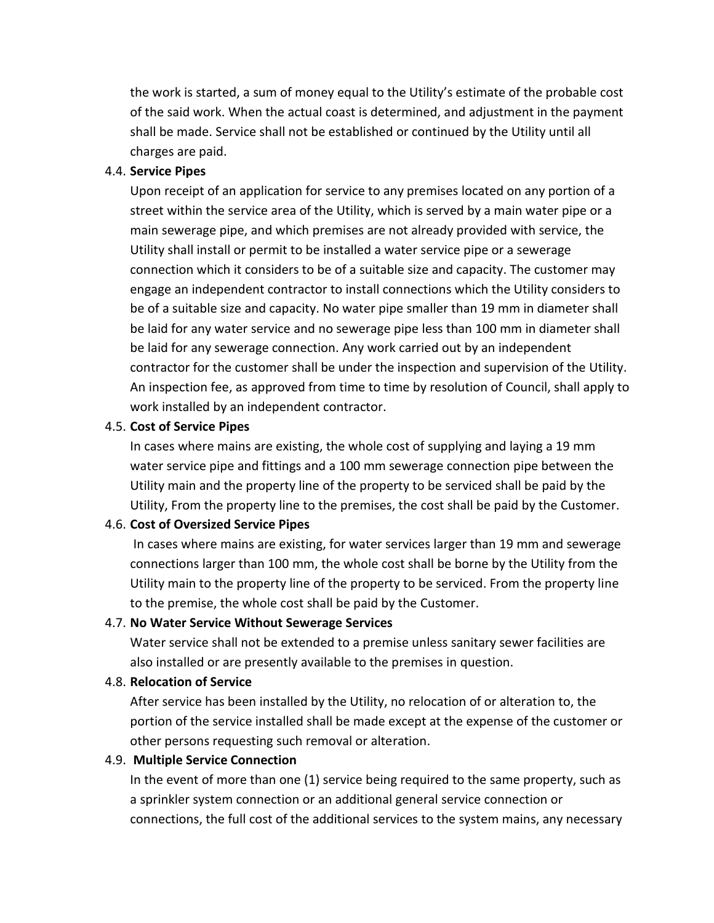the work is started, a sum of money equal to the Utility's estimate of the probable cost of the said work. When the actual coast is determined, and adjustment in the payment shall be made. Service shall not be established or continued by the Utility until all charges are paid.

#### 4.4. **Service Pipes**

Upon receipt of an application for service to any premises located on any portion of a street within the service area of the Utility, which is served by a main water pipe or a main sewerage pipe, and which premises are not already provided with service, the Utility shall install or permit to be installed a water service pipe or a sewerage connection which it considers to be of a suitable size and capacity. The customer may engage an independent contractor to install connections which the Utility considers to be of a suitable size and capacity. No water pipe smaller than 19 mm in diameter shall be laid for any water service and no sewerage pipe less than 100 mm in diameter shall be laid for any sewerage connection. Any work carried out by an independent contractor for the customer shall be under the inspection and supervision of the Utility. An inspection fee, as approved from time to time by resolution of Council, shall apply to work installed by an independent contractor.

#### 4.5. **Cost of Service Pipes**

In cases where mains are existing, the whole cost of supplying and laying a 19 mm water service pipe and fittings and a 100 mm sewerage connection pipe between the Utility main and the property line of the property to be serviced shall be paid by the Utility, From the property line to the premises, the cost shall be paid by the Customer.

#### 4.6. **Cost of Oversized Service Pipes**

In cases where mains are existing, for water services larger than 19 mm and sewerage connections larger than 100 mm, the whole cost shall be borne by the Utility from the Utility main to the property line of the property to be serviced. From the property line to the premise, the whole cost shall be paid by the Customer.

#### 4.7. **No Water Service Without Sewerage Services**

Water service shall not be extended to a premise unless sanitary sewer facilities are also installed or are presently available to the premises in question.

#### 4.8. **Relocation of Service**

After service has been installed by the Utility, no relocation of or alteration to, the portion of the service installed shall be made except at the expense of the customer or other persons requesting such removal or alteration.

#### 4.9. **Multiple Service Connection**

In the event of more than one (1) service being required to the same property, such as a sprinkler system connection or an additional general service connection or connections, the full cost of the additional services to the system mains, any necessary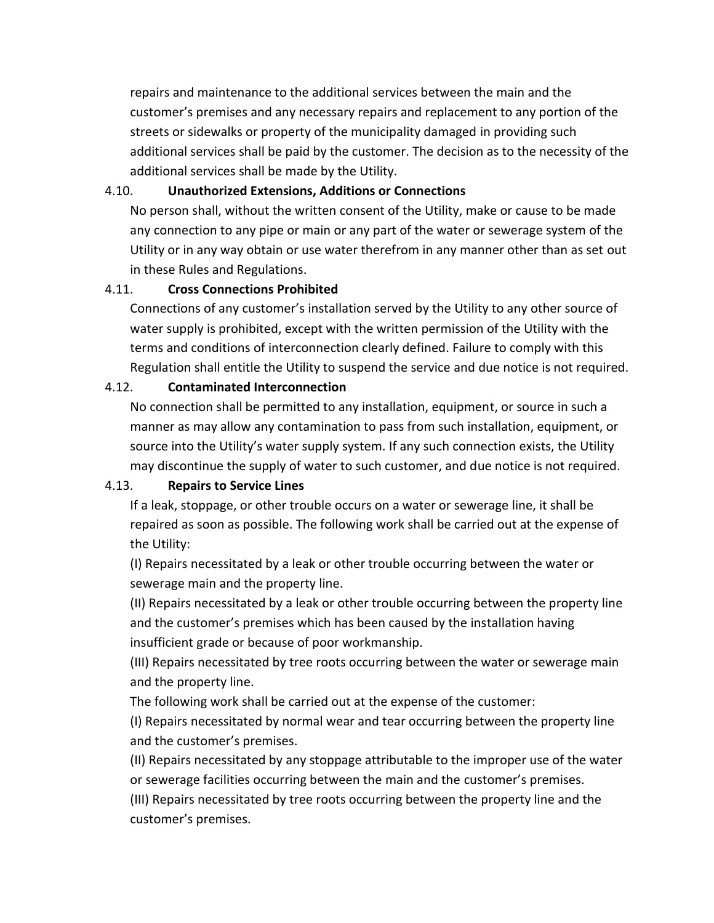repairs and maintenance to the additional services between the main and the customer's premises and any necessary repairs and replacement to any portion of the streets or sidewalks or property of the municipality damaged in providing such additional services shall be paid by the customer. The decision as to the necessity of the additional services shall be made by the Utility.

### 4.10. **Unauthorized Extensions, Additions or Connections**

No person shall, without the written consent of the Utility, make or cause to be made any connection to any pipe or main or any part of the water or sewerage system of the Utility or in any way obtain or use water therefrom in any manner other than as set out in these Rules and Regulations.

## 4.11. **Cross Connections Prohibited**

Connections of any customer's installation served by the Utility to any other source of water supply is prohibited, except with the written permission of the Utility with the terms and conditions of interconnection clearly defined. Failure to comply with this Regulation shall entitle the Utility to suspend the service and due notice is not required.

## 4.12. **Contaminated Interconnection**

No connection shall be permitted to any installation, equipment, or source in such a manner as may allow any contamination to pass from such installation, equipment, or source into the Utility's water supply system. If any such connection exists, the Utility may discontinue the supply of water to such customer, and due notice is not required.

## 4.13. **Repairs to Service Lines**

If a leak, stoppage, or other trouble occurs on a water or sewerage line, it shall be repaired as soon as possible. The following work shall be carried out at the expense of the Utility:

(I) Repairs necessitated by a leak or other trouble occurring between the water or sewerage main and the property line.

(II) Repairs necessitated by a leak or other trouble occurring between the property line and the customer's premises which has been caused by the installation having insufficient grade or because of poor workmanship.

(III) Repairs necessitated by tree roots occurring between the water or sewerage main and the property line.

The following work shall be carried out at the expense of the customer:

(I) Repairs necessitated by normal wear and tear occurring between the property line and the customer's premises.

(II) Repairs necessitated by any stoppage attributable to the improper use of the water or sewerage facilities occurring between the main and the customer's premises.

(III) Repairs necessitated by tree roots occurring between the property line and the customer's premises.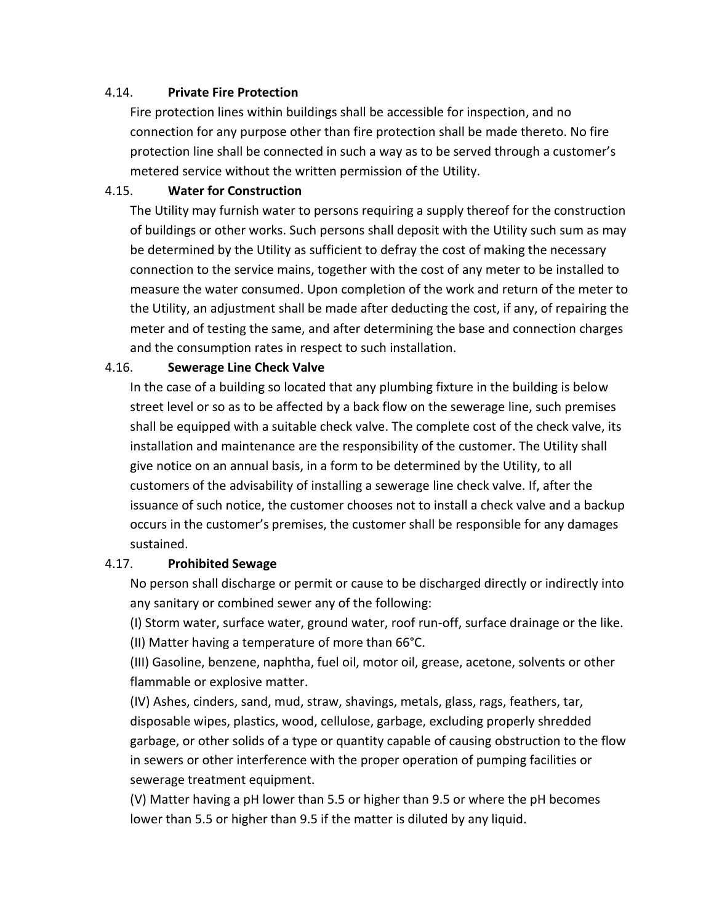#### 4.14. **Private Fire Protection**

Fire protection lines within buildings shall be accessible for inspection, and no connection for any purpose other than fire protection shall be made thereto. No fire protection line shall be connected in such a way as to be served through a customer's metered service without the written permission of the Utility.

### 4.15. **Water for Construction**

The Utility may furnish water to persons requiring a supply thereof for the construction of buildings or other works. Such persons shall deposit with the Utility such sum as may be determined by the Utility as sufficient to defray the cost of making the necessary connection to the service mains, together with the cost of any meter to be installed to measure the water consumed. Upon completion of the work and return of the meter to the Utility, an adjustment shall be made after deducting the cost, if any, of repairing the meter and of testing the same, and after determining the base and connection charges and the consumption rates in respect to such installation.

### 4.16. **Sewerage Line Check Valve**

In the case of a building so located that any plumbing fixture in the building is below street level or so as to be affected by a back flow on the sewerage line, such premises shall be equipped with a suitable check valve. The complete cost of the check valve, its installation and maintenance are the responsibility of the customer. The Utility shall give notice on an annual basis, in a form to be determined by the Utility, to all customers of the advisability of installing a sewerage line check valve. If, after the issuance of such notice, the customer chooses not to install a check valve and a backup occurs in the customer's premises, the customer shall be responsible for any damages sustained.

#### 4.17. **Prohibited Sewage**

No person shall discharge or permit or cause to be discharged directly or indirectly into any sanitary or combined sewer any of the following:

(I) Storm water, surface water, ground water, roof run-off, surface drainage or the like. (II) Matter having a temperature of more than 66°C.

(III) Gasoline, benzene, naphtha, fuel oil, motor oil, grease, acetone, solvents or other flammable or explosive matter.

(IV) Ashes, cinders, sand, mud, straw, shavings, metals, glass, rags, feathers, tar, disposable wipes, plastics, wood, cellulose, garbage, excluding properly shredded garbage, or other solids of a type or quantity capable of causing obstruction to the flow in sewers or other interference with the proper operation of pumping facilities or sewerage treatment equipment.

(V) Matter having a pH lower than 5.5 or higher than 9.5 or where the pH becomes lower than 5.5 or higher than 9.5 if the matter is diluted by any liquid.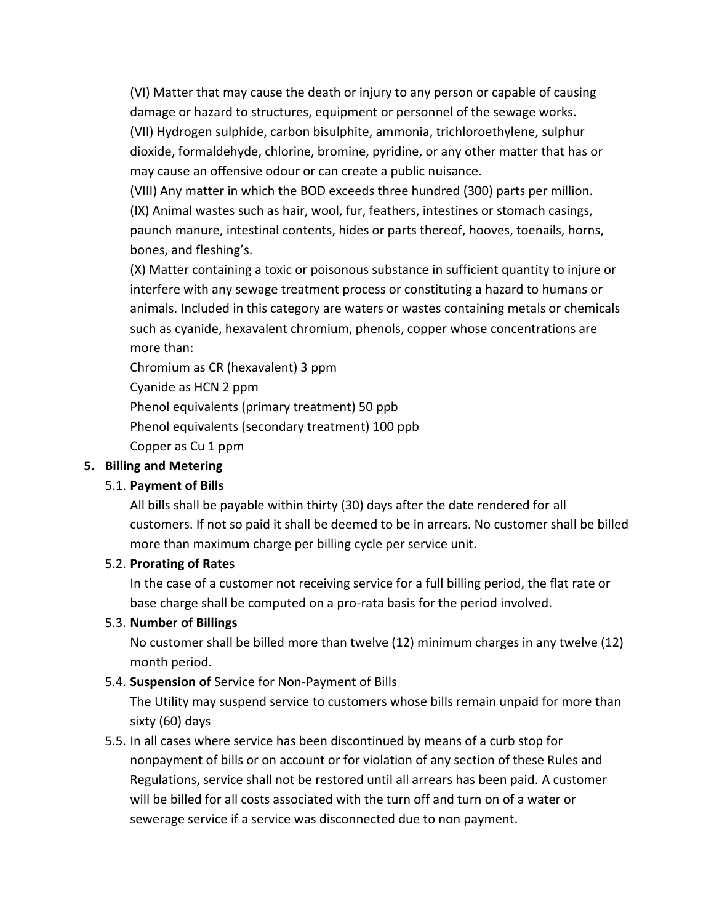(VI) Matter that may cause the death or injury to any person or capable of causing damage or hazard to structures, equipment or personnel of the sewage works. (VII) Hydrogen sulphide, carbon bisulphite, ammonia, trichloroethylene, sulphur dioxide, formaldehyde, chlorine, bromine, pyridine, or any other matter that has or may cause an offensive odour or can create a public nuisance.

(VIII) Any matter in which the BOD exceeds three hundred (300) parts per million. (IX) Animal wastes such as hair, wool, fur, feathers, intestines or stomach casings, paunch manure, intestinal contents, hides or parts thereof, hooves, toenails, horns, bones, and fleshing's.

(X) Matter containing a toxic or poisonous substance in sufficient quantity to injure or interfere with any sewage treatment process or constituting a hazard to humans or animals. Included in this category are waters or wastes containing metals or chemicals such as cyanide, hexavalent chromium, phenols, copper whose concentrations are more than:

Chromium as CR (hexavalent) 3 ppm

Cyanide as HCN 2 ppm Phenol equivalents (primary treatment) 50 ppb Phenol equivalents (secondary treatment) 100 ppb Copper as Cu 1 ppm

## **5. Billing and Metering**

## 5.1. **Payment of Bills**

All bills shall be payable within thirty (30) days after the date rendered for all customers. If not so paid it shall be deemed to be in arrears. No customer shall be billed more than maximum charge per billing cycle per service unit.

## 5.2. **Prorating of Rates**

In the case of a customer not receiving service for a full billing period, the flat rate or base charge shall be computed on a pro-rata basis for the period involved.

## 5.3. **Number of Billings**

No customer shall be billed more than twelve (12) minimum charges in any twelve (12) month period.

## 5.4. **Suspension of** Service for Non-Payment of Bills

The Utility may suspend service to customers whose bills remain unpaid for more than sixty (60) days

5.5. In all cases where service has been discontinued by means of a curb stop for nonpayment of bills or on account or for violation of any section of these Rules and Regulations, service shall not be restored until all arrears has been paid. A customer will be billed for all costs associated with the turn off and turn on of a water or sewerage service if a service was disconnected due to non payment.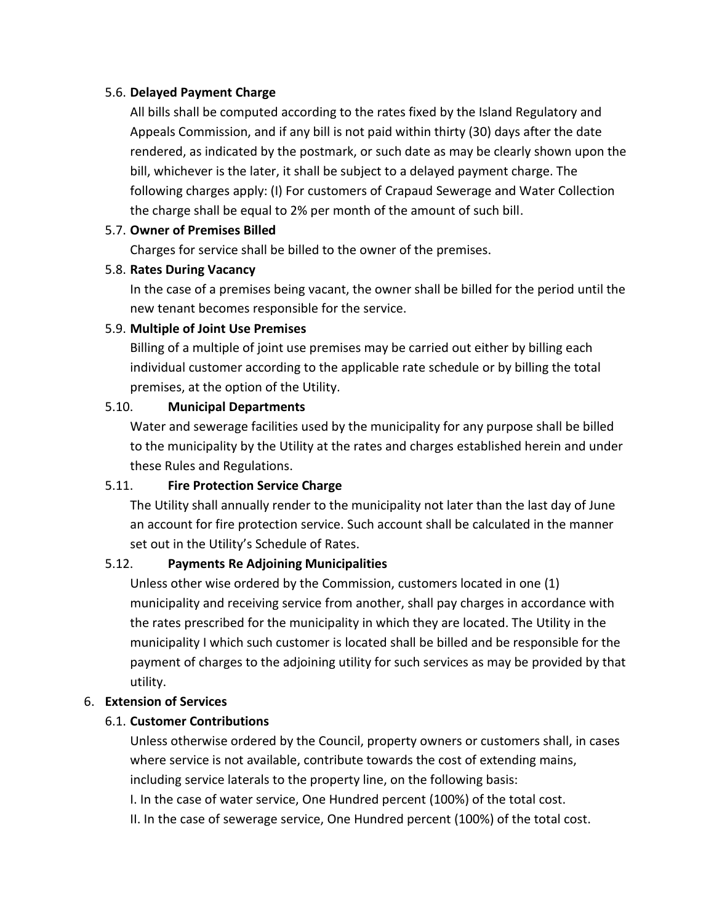### 5.6. **Delayed Payment Charge**

All bills shall be computed according to the rates fixed by the Island Regulatory and Appeals Commission, and if any bill is not paid within thirty (30) days after the date rendered, as indicated by the postmark, or such date as may be clearly shown upon the bill, whichever is the later, it shall be subject to a delayed payment charge. The following charges apply: (I) For customers of Crapaud Sewerage and Water Collection the charge shall be equal to 2% per month of the amount of such bill.

## 5.7. **Owner of Premises Billed**

Charges for service shall be billed to the owner of the premises.

## 5.8. **Rates During Vacancy**

In the case of a premises being vacant, the owner shall be billed for the period until the new tenant becomes responsible for the service.

### 5.9. **Multiple of Joint Use Premises**

Billing of a multiple of joint use premises may be carried out either by billing each individual customer according to the applicable rate schedule or by billing the total premises, at the option of the Utility.

### 5.10. **Municipal Departments**

Water and sewerage facilities used by the municipality for any purpose shall be billed to the municipality by the Utility at the rates and charges established herein and under these Rules and Regulations.

## 5.11. **Fire Protection Service Charge**

The Utility shall annually render to the municipality not later than the last day of June an account for fire protection service. Such account shall be calculated in the manner set out in the Utility's Schedule of Rates.

## 5.12. **Payments Re Adjoining Municipalities**

Unless other wise ordered by the Commission, customers located in one (1) municipality and receiving service from another, shall pay charges in accordance with the rates prescribed for the municipality in which they are located. The Utility in the municipality I which such customer is located shall be billed and be responsible for the payment of charges to the adjoining utility for such services as may be provided by that utility.

## 6. **Extension of Services**

## 6.1. **Customer Contributions**

Unless otherwise ordered by the Council, property owners or customers shall, in cases where service is not available, contribute towards the cost of extending mains, including service laterals to the property line, on the following basis:

I. In the case of water service, One Hundred percent (100%) of the total cost.

II. In the case of sewerage service, One Hundred percent (100%) of the total cost.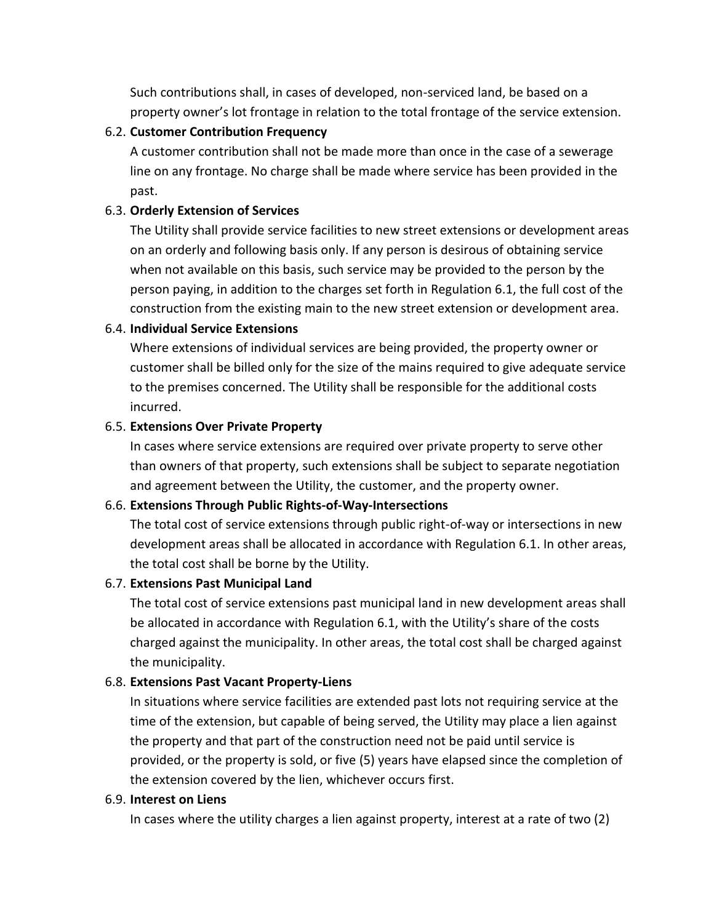Such contributions shall, in cases of developed, non-serviced land, be based on a property owner's lot frontage in relation to the total frontage of the service extension.

### 6.2. **Customer Contribution Frequency**

A customer contribution shall not be made more than once in the case of a sewerage line on any frontage. No charge shall be made where service has been provided in the past.

### 6.3. **Orderly Extension of Services**

The Utility shall provide service facilities to new street extensions or development areas on an orderly and following basis only. If any person is desirous of obtaining service when not available on this basis, such service may be provided to the person by the person paying, in addition to the charges set forth in Regulation 6.1, the full cost of the construction from the existing main to the new street extension or development area.

#### 6.4. **Individual Service Extensions**

Where extensions of individual services are being provided, the property owner or customer shall be billed only for the size of the mains required to give adequate service to the premises concerned. The Utility shall be responsible for the additional costs incurred.

#### 6.5. **Extensions Over Private Property**

In cases where service extensions are required over private property to serve other than owners of that property, such extensions shall be subject to separate negotiation and agreement between the Utility, the customer, and the property owner.

#### 6.6. **Extensions Through Public Rights-of-Way-Intersections**

The total cost of service extensions through public right-of-way or intersections in new development areas shall be allocated in accordance with Regulation 6.1. In other areas, the total cost shall be borne by the Utility.

#### 6.7. **Extensions Past Municipal Land**

The total cost of service extensions past municipal land in new development areas shall be allocated in accordance with Regulation 6.1, with the Utility's share of the costs charged against the municipality. In other areas, the total cost shall be charged against the municipality.

#### 6.8. **Extensions Past Vacant Property-Liens**

In situations where service facilities are extended past lots not requiring service at the time of the extension, but capable of being served, the Utility may place a lien against the property and that part of the construction need not be paid until service is provided, or the property is sold, or five (5) years have elapsed since the completion of the extension covered by the lien, whichever occurs first.

#### 6.9. **Interest on Liens**

In cases where the utility charges a lien against property, interest at a rate of two (2)